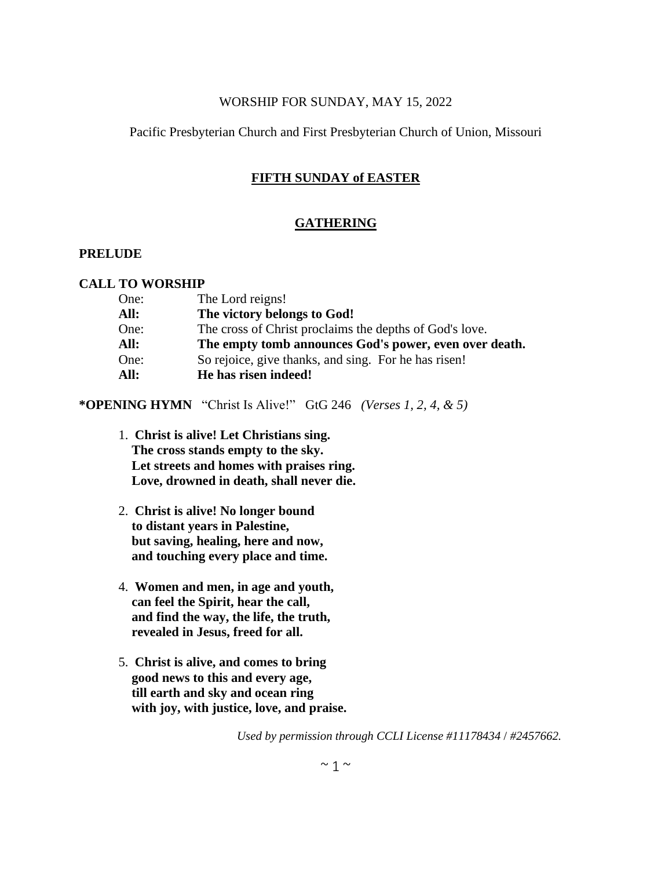## WORSHIP FOR SUNDAY, MAY 15, 2022

# Pacific Presbyterian Church and First Presbyterian Church of Union, Missouri

# **FIFTH SUNDAY of EASTER**

# **GATHERING**

# **PRELUDE**

### **CALL TO WORSHIP**

| One: | The Lord reigns!                                        |
|------|---------------------------------------------------------|
| All: | The victory belongs to God!                             |
| One: | The cross of Christ proclaims the depths of God's love. |
| All: | The empty tomb announces God's power, even over death.  |
| One: | So rejoice, give thanks, and sing. For he has risen!    |
| All: | He has risen indeed!                                    |

**\*OPENING HYMN** "Christ Is Alive!" GtG 246 *(Verses 1, 2, 4, & 5)*

- 1. **Christ is alive! Let Christians sing. The cross stands empty to the sky. Let streets and homes with praises ring. Love, drowned in death, shall never die.**
- 2. **Christ is alive! No longer bound to distant years in Palestine, but saving, healing, here and now, and touching every place and time.**
- 4. **Women and men, in age and youth, can feel the Spirit, hear the call, and find the way, the life, the truth, revealed in Jesus, freed for all.**
- 5. **Christ is alive, and comes to bring good news to this and every age, till earth and sky and ocean ring with joy, with justice, love, and praise.**

*Used by permission through CCLI License #11178434* / *#2457662.*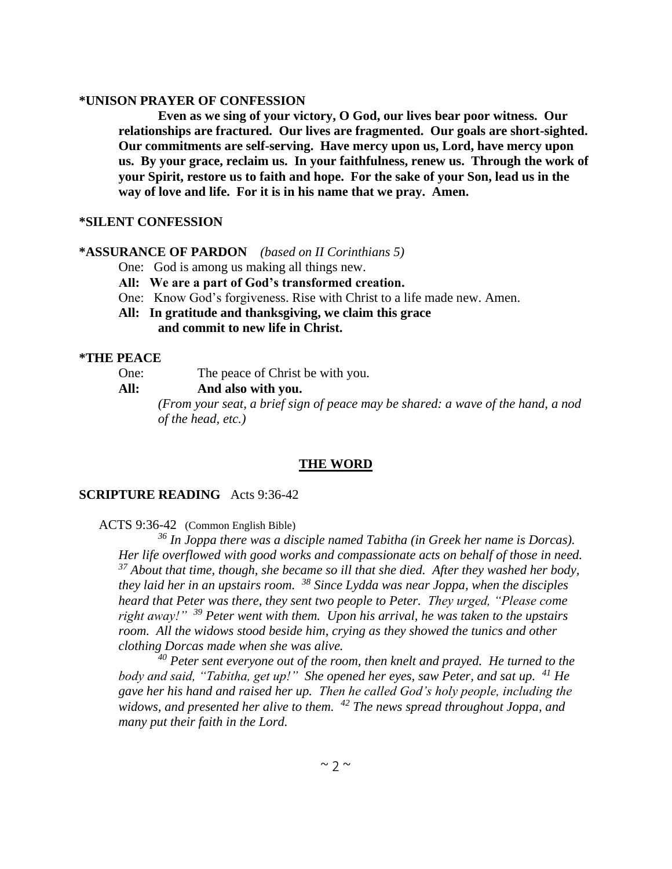#### **\*UNISON PRAYER OF CONFESSION**

**Even as we sing of your victory, O God, our lives bear poor witness. Our relationships are fractured. Our lives are fragmented. Our goals are short-sighted. Our commitments are self-serving. Have mercy upon us, Lord, have mercy upon us. By your grace, reclaim us. In your faithfulness, renew us. Through the work of your Spirit, restore us to faith and hope. For the sake of your Son, lead us in the way of love and life. For it is in his name that we pray. Amen.**

### **\*SILENT CONFESSION**

### **\*ASSURANCE OF PARDON** *(based on II Corinthians 5)*

One: God is among us making all things new.

**All: We are a part of God's transformed creation.**

One: Know God's forgiveness. Rise with Christ to a life made new. Amen.

**All: In gratitude and thanksgiving, we claim this grace and commit to new life in Christ.**

### **\*THE PEACE**

One: The peace of Christ be with you.

**All: And also with you.**

*(From your seat, a brief sign of peace may be shared: a wave of the hand, a nod of the head, etc.)*

### **THE WORD**

### **SCRIPTURE READING** Acts 9:36-42

ACTS 9:36-42 (Common English Bible)

*<sup>36</sup> In Joppa there was a disciple named Tabitha (in Greek her name is Dorcas). Her life overflowed with good works and compassionate acts on behalf of those in need. <sup>37</sup> About that time, though, she became so ill that she died. After they washed her body, they laid her in an upstairs room. <sup>38</sup> Since Lydda was near Joppa, when the disciples heard that Peter was there, they sent two people to Peter. They urged, "Please come right away!" <sup>39</sup> Peter went with them. Upon his arrival, he was taken to the upstairs room. All the widows stood beside him, crying as they showed the tunics and other clothing Dorcas made when she was alive.*

*<sup>40</sup> Peter sent everyone out of the room, then knelt and prayed. He turned to the body and said, "Tabitha, get up!" She opened her eyes, saw Peter, and sat up. <sup>41</sup> He gave her his hand and raised her up. Then he called God's holy people, including the widows, and presented her alive to them. <sup>42</sup> The news spread throughout Joppa, and many put their faith in the Lord.*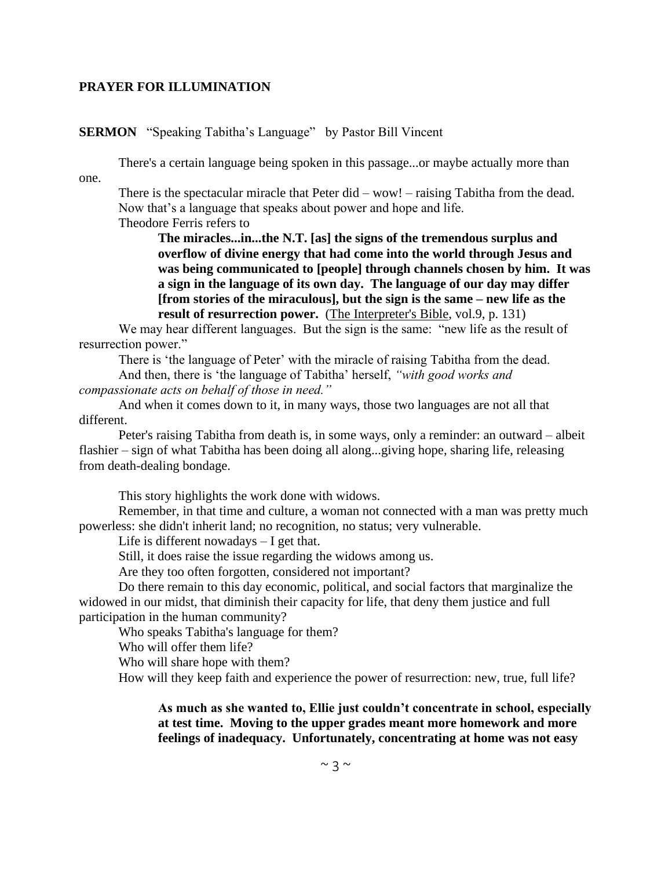### **PRAYER FOR ILLUMINATION**

**SERMON** "Speaking Tabitha's Language" by Pastor Bill Vincent

There's a certain language being spoken in this passage...or maybe actually more than one.

There is the spectacular miracle that Peter did – wow! – raising Tabitha from the dead. Now that's a language that speaks about power and hope and life.

Theodore Ferris refers to

**The miracles...in...the N.T. [as] the signs of the tremendous surplus and overflow of divine energy that had come into the world through Jesus and was being communicated to [people] through channels chosen by him. It was a sign in the language of its own day. The language of our day may differ [from stories of the miraculous], but the sign is the same – new life as the result of resurrection power.** (The Interpreter's Bible, vol.9, p. 131)

We may hear different languages. But the sign is the same: "new life as the result of resurrection power."

There is 'the language of Peter' with the miracle of raising Tabitha from the dead.

And then, there is 'the language of Tabitha' herself, *"with good works and compassionate acts on behalf of those in need."*

And when it comes down to it, in many ways, those two languages are not all that different.

Peter's raising Tabitha from death is, in some ways, only a reminder: an outward – albeit flashier – sign of what Tabitha has been doing all along...giving hope, sharing life, releasing from death-dealing bondage.

This story highlights the work done with widows.

Remember, in that time and culture, a woman not connected with a man was pretty much powerless: she didn't inherit land; no recognition, no status; very vulnerable.

Life is different nowadays – I get that.

Still, it does raise the issue regarding the widows among us.

Are they too often forgotten, considered not important?

Do there remain to this day economic, political, and social factors that marginalize the widowed in our midst, that diminish their capacity for life, that deny them justice and full participation in the human community?

Who speaks Tabitha's language for them?

Who will offer them life?

Who will share hope with them?

How will they keep faith and experience the power of resurrection: new, true, full life?

**As much as she wanted to, Ellie just couldn't concentrate in school, especially at test time. Moving to the upper grades meant more homework and more feelings of inadequacy. Unfortunately, concentrating at home was not easy**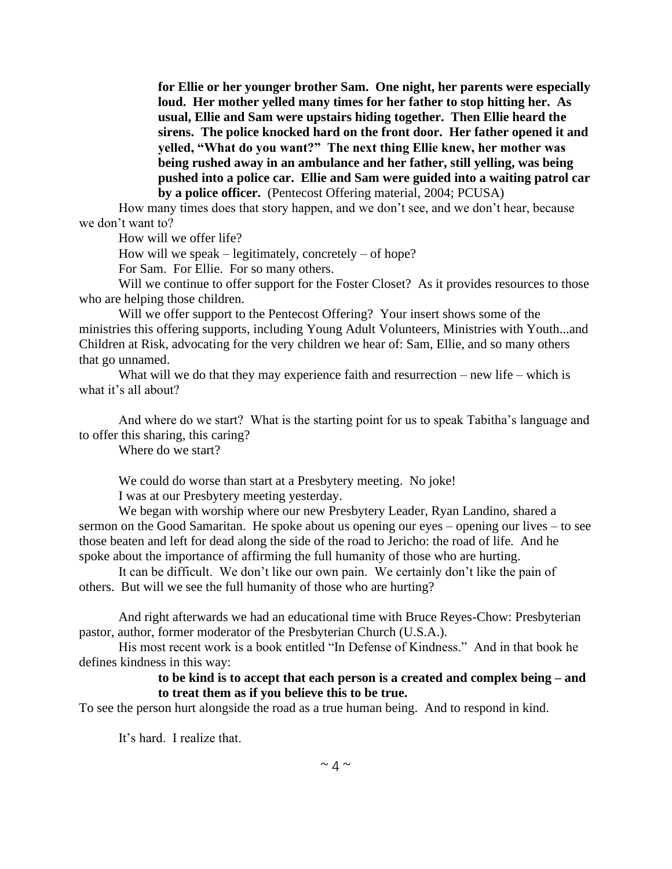**for Ellie or her younger brother Sam. One night, her parents were especially loud. Her mother yelled many times for her father to stop hitting her. As usual, Ellie and Sam were upstairs hiding together. Then Ellie heard the sirens. The police knocked hard on the front door. Her father opened it and yelled, "What do you want?" The next thing Ellie knew, her mother was being rushed away in an ambulance and her father, still yelling, was being pushed into a police car. Ellie and Sam were guided into a waiting patrol car by a police officer.** (Pentecost Offering material, 2004; PCUSA)

How many times does that story happen, and we don't see, and we don't hear, because we don't want to?

How will we offer life?

How will we speak – legitimately, concretely – of hope?

For Sam. For Ellie. For so many others.

Will we continue to offer support for the Foster Closet? As it provides resources to those who are helping those children.

Will we offer support to the Pentecost Offering? Your insert shows some of the ministries this offering supports, including Young Adult Volunteers, Ministries with Youth...and Children at Risk, advocating for the very children we hear of: Sam, Ellie, and so many others that go unnamed.

What will we do that they may experience faith and resurrection – new life – which is what it's all about?

And where do we start? What is the starting point for us to speak Tabitha's language and to offer this sharing, this caring?

Where do we start?

We could do worse than start at a Presbytery meeting. No joke!

I was at our Presbytery meeting yesterday.

We began with worship where our new Presbytery Leader, Ryan Landino, shared a sermon on the Good Samaritan. He spoke about us opening our eyes – opening our lives – to see those beaten and left for dead along the side of the road to Jericho: the road of life. And he spoke about the importance of affirming the full humanity of those who are hurting.

It can be difficult. We don't like our own pain. We certainly don't like the pain of others. But will we see the full humanity of those who are hurting?

And right afterwards we had an educational time with Bruce Reyes-Chow: Presbyterian pastor, author, former moderator of the Presbyterian Church (U.S.A.).

His most recent work is a book entitled "In Defense of Kindness." And in that book he defines kindness in this way:

### **to be kind is to accept that each person is a created and complex being – and to treat them as if you believe this to be true.**

To see the person hurt alongside the road as a true human being. And to respond in kind.

It's hard. I realize that.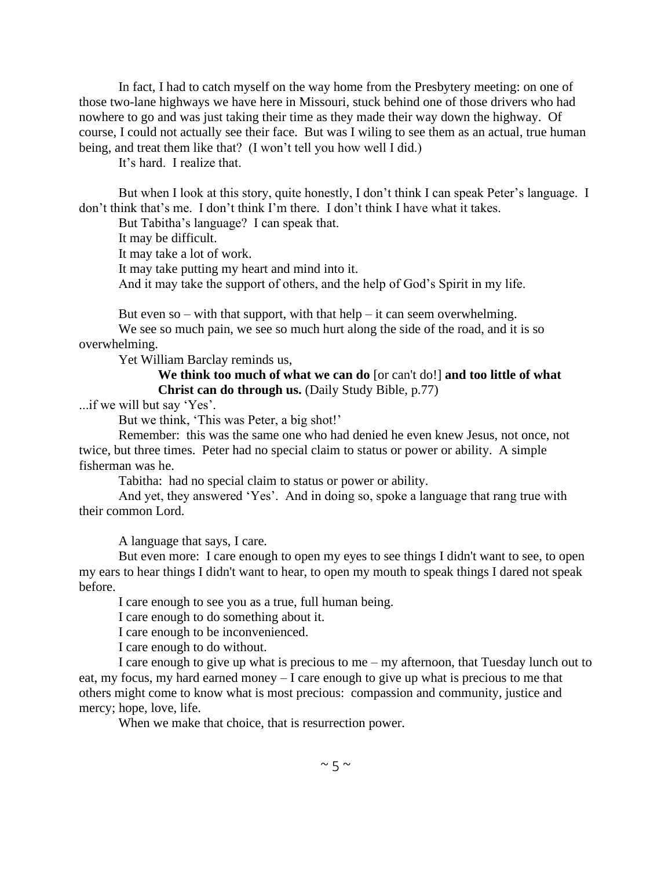In fact, I had to catch myself on the way home from the Presbytery meeting: on one of those two-lane highways we have here in Missouri, stuck behind one of those drivers who had nowhere to go and was just taking their time as they made their way down the highway. Of course, I could not actually see their face. But was I wiling to see them as an actual, true human being, and treat them like that? (I won't tell you how well I did.)

It's hard. I realize that.

But when I look at this story, quite honestly, I don't think I can speak Peter's language. I don't think that's me. I don't think I'm there. I don't think I have what it takes.

But Tabitha's language? I can speak that.

It may be difficult.

It may take a lot of work.

It may take putting my heart and mind into it.

And it may take the support of others, and the help of God's Spirit in my life.

But even so – with that support, with that help – it can seem overwhelming.

We see so much pain, we see so much hurt along the side of the road, and it is so overwhelming.

Yet William Barclay reminds us,

# **We think too much of what we can do** [or can't do!] **and too little of what Christ can do through us.** (Daily Study Bible, p.77)

...if we will but say 'Yes'.

But we think, 'This was Peter, a big shot!'

Remember: this was the same one who had denied he even knew Jesus, not once, not twice, but three times. Peter had no special claim to status or power or ability. A simple fisherman was he.

Tabitha: had no special claim to status or power or ability.

And yet, they answered 'Yes'. And in doing so, spoke a language that rang true with their common Lord.

A language that says, I care.

But even more: I care enough to open my eyes to see things I didn't want to see, to open my ears to hear things I didn't want to hear, to open my mouth to speak things I dared not speak before.

I care enough to see you as a true, full human being.

I care enough to do something about it.

I care enough to be inconvenienced.

I care enough to do without.

I care enough to give up what is precious to me – my afternoon, that Tuesday lunch out to eat, my focus, my hard earned money – I care enough to give up what is precious to me that others might come to know what is most precious: compassion and community, justice and mercy; hope, love, life.

When we make that choice, that is resurrection power.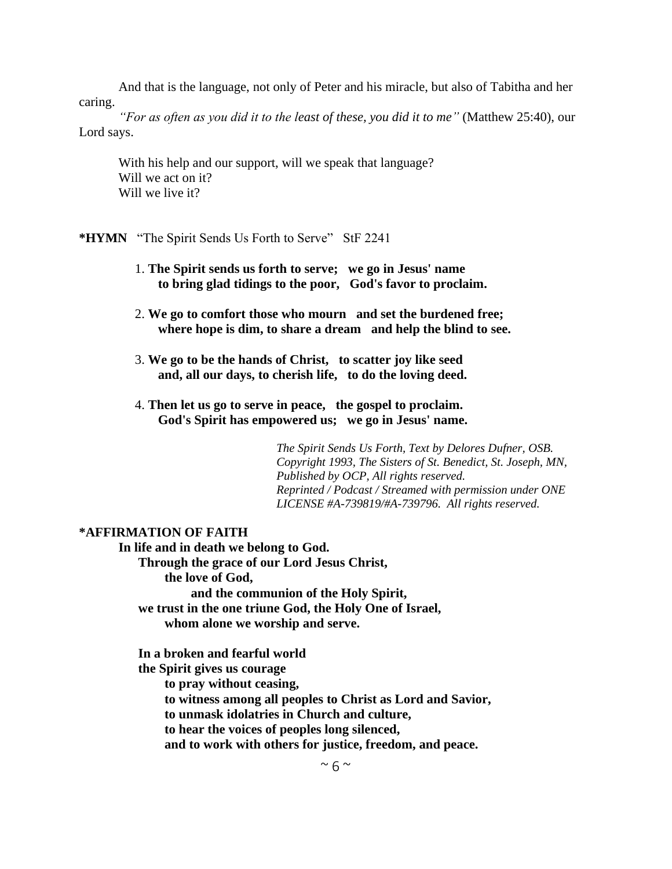And that is the language, not only of Peter and his miracle, but also of Tabitha and her caring.

*"For as often as you did it to the least of these, you did it to me"* (Matthew 25:40), our Lord says.

With his help and our support, will we speak that language? Will we act on it? Will we live it?

**\*HYMN** "The Spirit Sends Us Forth to Serve" StF 2241

- 1. **The Spirit sends us forth to serve; we go in Jesus' name to bring glad tidings to the poor, God's favor to proclaim.**
- 2. **We go to comfort those who mourn and set the burdened free; where hope is dim, to share a dream and help the blind to see.**
- 3. **We go to be the hands of Christ, to scatter joy like seed and, all our days, to cherish life, to do the loving deed.**
- 4. **Then let us go to serve in peace, the gospel to proclaim. God's Spirit has empowered us; we go in Jesus' name.**

*The Spirit Sends Us Forth, Text by Delores Dufner, OSB. Copyright 1993, The Sisters of St. Benedict, St. Joseph, MN, Published by OCP, All rights reserved. Reprinted / Podcast / Streamed with permission under ONE LICENSE #A-739819/#A-739796. All rights reserved.*

### **\*AFFIRMATION OF FAITH**

**In life and in death we belong to God. Through the grace of our Lord Jesus Christ, the love of God, and the communion of the Holy Spirit, we trust in the one triune God, the Holy One of Israel, whom alone we worship and serve.**

 **In a broken and fearful world the Spirit gives us courage**

 **to pray without ceasing,**

 **to witness among all peoples to Christ as Lord and Savior,**

 **to unmask idolatries in Church and culture,**

 **to hear the voices of peoples long silenced,**

 **and to work with others for justice, freedom, and peace.**

 $~\sim$  6  $~\sim$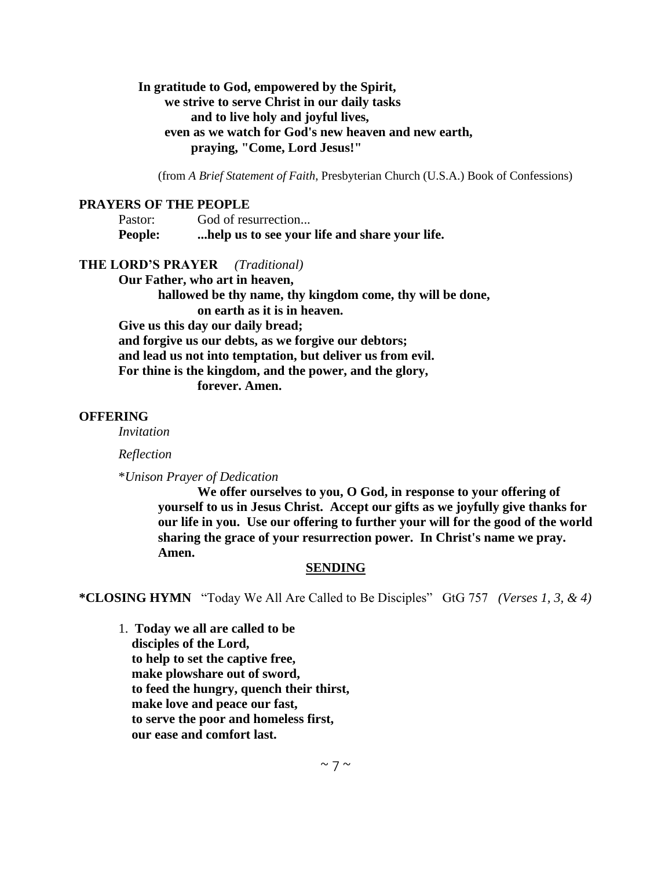# **In gratitude to God, empowered by the Spirit, we strive to serve Christ in our daily tasks and to live holy and joyful lives, even as we watch for God's new heaven and new earth, praying, "Come, Lord Jesus!"**

(from *A Brief Statement of Faith*, Presbyterian Church (U.S.A.) Book of Confessions)

### **PRAYERS OF THE PEOPLE**

| Pastor:        | God of resurrection                           |
|----------------|-----------------------------------------------|
| <b>People:</b> | help us to see your life and share your life. |

### **THE LORD'S PRAYER** *(Traditional)*

**Our Father, who art in heaven, hallowed be thy name, thy kingdom come, thy will be done, on earth as it is in heaven. Give us this day our daily bread; and forgive us our debts, as we forgive our debtors; and lead us not into temptation, but deliver us from evil. For thine is the kingdom, and the power, and the glory, forever. Amen.**

#### **OFFERING**

*Invitation*

*Reflection*

\**Unison Prayer of Dedication*

**We offer ourselves to you, O God, in response to your offering of yourself to us in Jesus Christ. Accept our gifts as we joyfully give thanks for our life in you. Use our offering to further your will for the good of the world sharing the grace of your resurrection power. In Christ's name we pray. Amen.**

#### **SENDING**

**\*CLOSING HYMN** "Today We All Are Called to Be Disciples" GtG 757 *(Verses 1, 3, & 4)*

1. **Today we all are called to be disciples of the Lord, to help to set the captive free, make plowshare out of sword, to feed the hungry, quench their thirst, make love and peace our fast, to serve the poor and homeless first, our ease and comfort last.**

 $\sim$  7  $\sim$